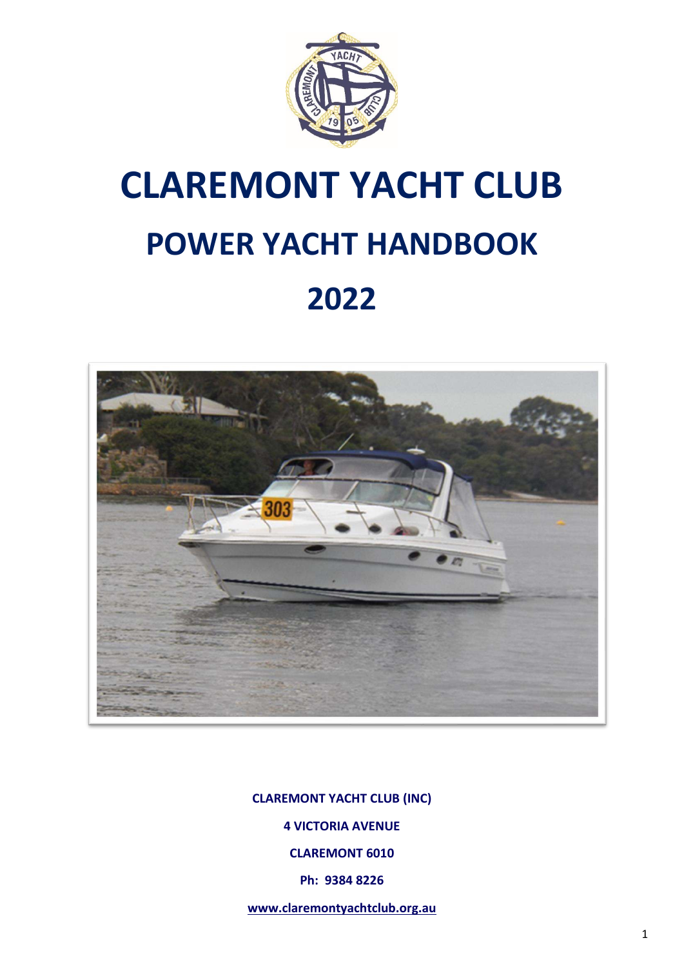

# **CLAREMONT YACHT CLUB POWER YACHT HANDBOOK 2022**



**CLAREMONT YACHT CLUB (INC) 4 VICTORIA AVENUE CLAREMONT 6010 Ph: 9384 8226** 

**[www.claremontyachtclub.org.au](http://www.claremontyachtclub.org.au/)**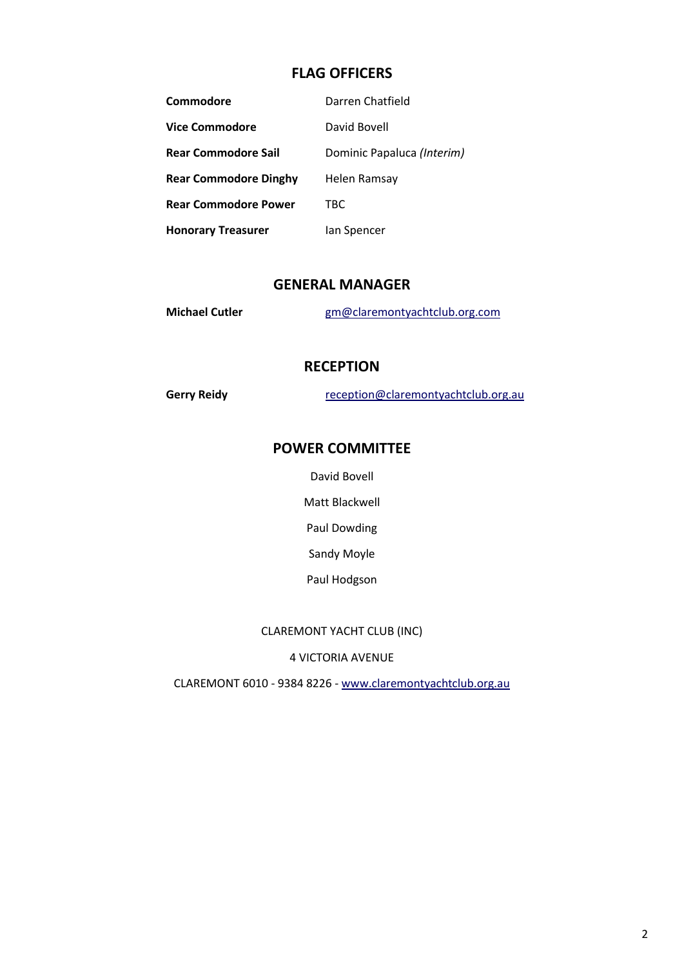### **FLAG OFFICERS**

| Commodore                    | Darren Chatfield           |
|------------------------------|----------------------------|
| <b>Vice Commodore</b>        | David Bovell               |
| <b>Rear Commodore Sail</b>   | Dominic Papaluca (Interim) |
| <b>Rear Commodore Dinghy</b> | Helen Ramsay               |
| <b>Rear Commodore Power</b>  | TBC                        |
| <b>Honorary Treasurer</b>    | lan Spencer                |

#### **GENERAL MANAGER**

| <b>Michael Cutler</b> | gm@claremontyachtclub.org.com |
|-----------------------|-------------------------------|
|                       |                               |

#### **RECEPTION**

Gerry Reidy **reception@claremontyachtclub.org.au** 

## **POWER COMMITTEE**

David Bovell

Matt Blackwell

Paul Dowding

Sandy Moyle

Paul Hodgson

#### CLAREMONT YACHT CLUB (INC)

4 VICTORIA AVENUE

CLAREMONT 6010 - 9384 8226 - [www.claremontyachtclub.org.au](http://www.claremontyachtclub.org.au/)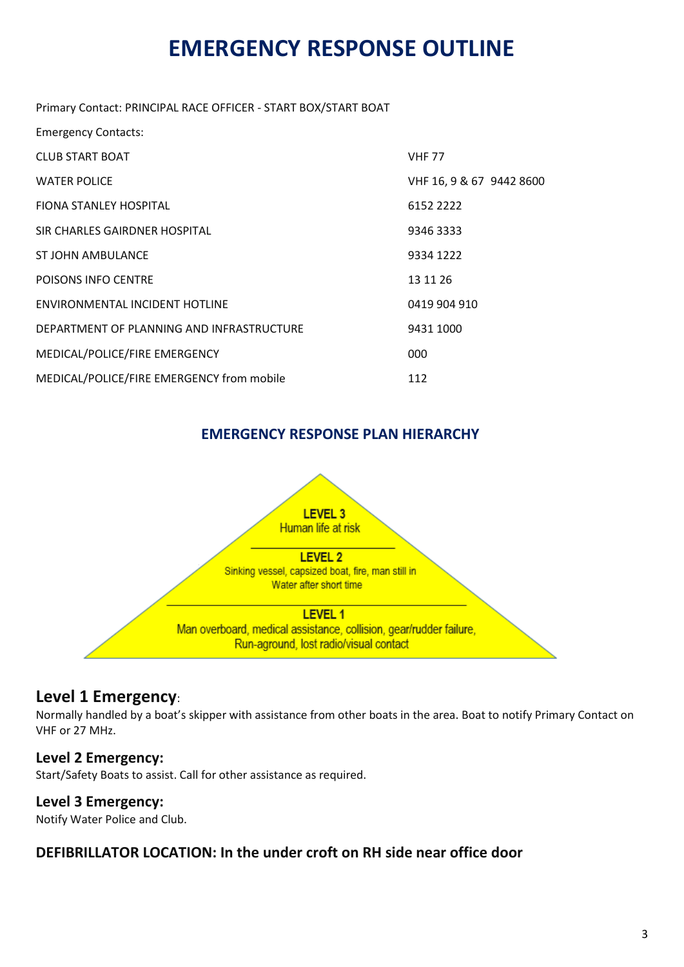# **EMERGENCY RESPONSE OUTLINE**

Primary Contact: PRINCIPAL RACE OFFICER - START BOX/START BOAT

| <b>Emergency Contacts:</b>                |                          |
|-------------------------------------------|--------------------------|
| <b>CLUB START BOAT</b>                    | <b>VHF 77</b>            |
| <b>WATER POLICE</b>                       | VHF 16, 9 & 67 9442 8600 |
| <b>FIONA STANLEY HOSPITAL</b>             | 6152 2222                |
| SIR CHARLES GAIRDNER HOSPITAL             | 9346 3333                |
| ST JOHN AMBULANCE                         | 9334 1222                |
| POISONS INFO CENTRE                       | 13 11 26                 |
| ENVIRONMENTAL INCIDENT HOTLINE            | 0419 904 910             |
| DEPARTMENT OF PLANNING AND INFRASTRUCTURE | 9431 1000                |
| MEDICAL/POLICE/FIRE EMERGENCY             | 000                      |
| MEDICAL/POLICE/FIRE EMERGENCY from mobile | 112                      |

## **EMERGENCY RESPONSE PLAN HIERARCHY**



## **Level 1 Emergency**:

Normally handled by a boat's skipper with assistance from other boats in the area. Boat to notify Primary Contact on VHF or 27 MHz.

## **Level 2 Emergency:**

Start/Safety Boats to assist. Call for other assistance as required.

## **Level 3 Emergency:**

Notify Water Police and Club.

## **DEFIBRILLATOR LOCATION: In the under croft on RH side near office door**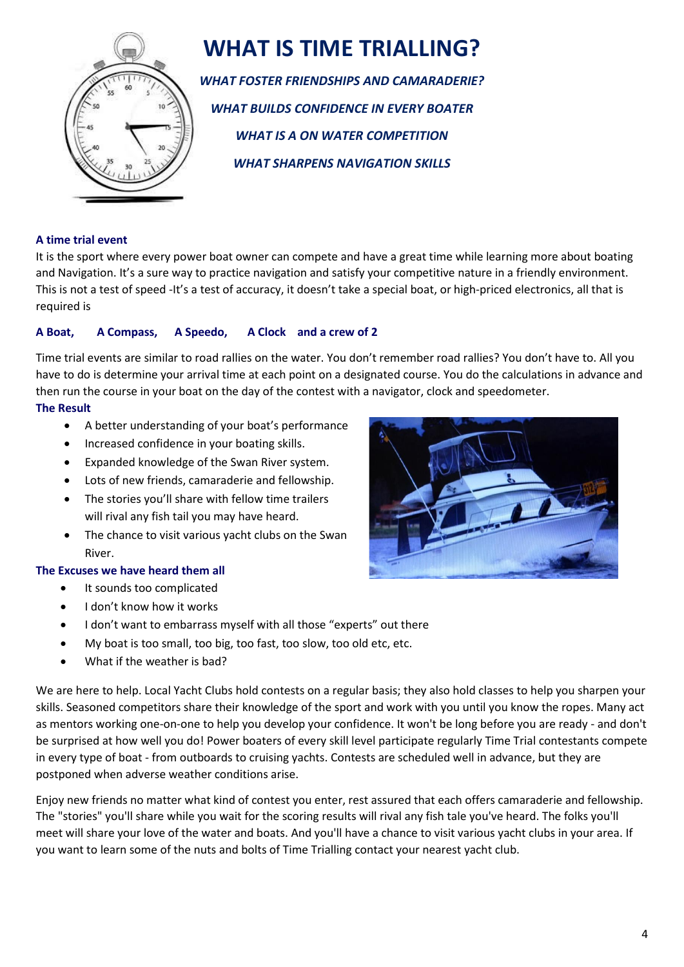

# **WHAT IS TIME TRIALLING?**

*WHAT FOSTER FRIENDSHIPS AND CAMARADERIE? WHAT BUILDS CONFIDENCE IN EVERY BOATER WHAT IS A ON WATER COMPETITION WHAT SHARPENS NAVIGATION SKILLS*

#### **A time trial event**

It is the sport where every power boat owner can compete and have a great time while learning more about boating and Navigation. It's a sure way to practice navigation and satisfy your competitive nature in a friendly environment. This is not a test of speed -It's a test of accuracy, it doesn't take a special boat, or high-priced electronics, all that is required is

#### **A Boat, A Compass, A Speedo, A Clock and a crew of 2**

Time trial events are similar to road rallies on the water. You don't remember road rallies? You don't have to. All you have to do is determine your arrival time at each point on a designated course. You do the calculations in advance and then run the course in your boat on the day of the contest with a navigator, clock and speedometer.

#### **The Result**

- A better understanding of your boat's performance
- Increased confidence in your boating skills.
- Expanded knowledge of the Swan River system.
- Lots of new friends, camaraderie and fellowship.
- The stories you'll share with fellow time trailers will rival any fish tail you may have heard.
- The chance to visit various yacht clubs on the Swan River.

#### **The Excuses we have heard them all**

- It sounds too complicated
- I don't know how it works
- I don't want to embarrass myself with all those "experts" out there
- My boat is too small, too big, too fast, too slow, too old etc, etc.
- What if the weather is bad?

We are here to help. Local Yacht Clubs hold contests on a regular basis; they also hold classes to help you sharpen your skills. Seasoned competitors share their knowledge of the sport and work with you until you know the ropes. Many act as mentors working one-on-one to help you develop your confidence. It won't be long before you are ready - and don't be surprised at how well you do! Power boaters of every skill level participate regularly Time Trial contestants compete in every type of boat - from outboards to cruising yachts. Contests are scheduled well in advance, but they are postponed when adverse weather conditions arise.

Enjoy new friends no matter what kind of contest you enter, rest assured that each offers camaraderie and fellowship. The "stories" you'll share while you wait for the scoring results will rival any fish tale you've heard. The folks you'll meet will share your love of the water and boats. And you'll have a chance to visit various yacht clubs in your area. If you want to learn some of the nuts and bolts of Time Trialling contact your nearest yacht club.

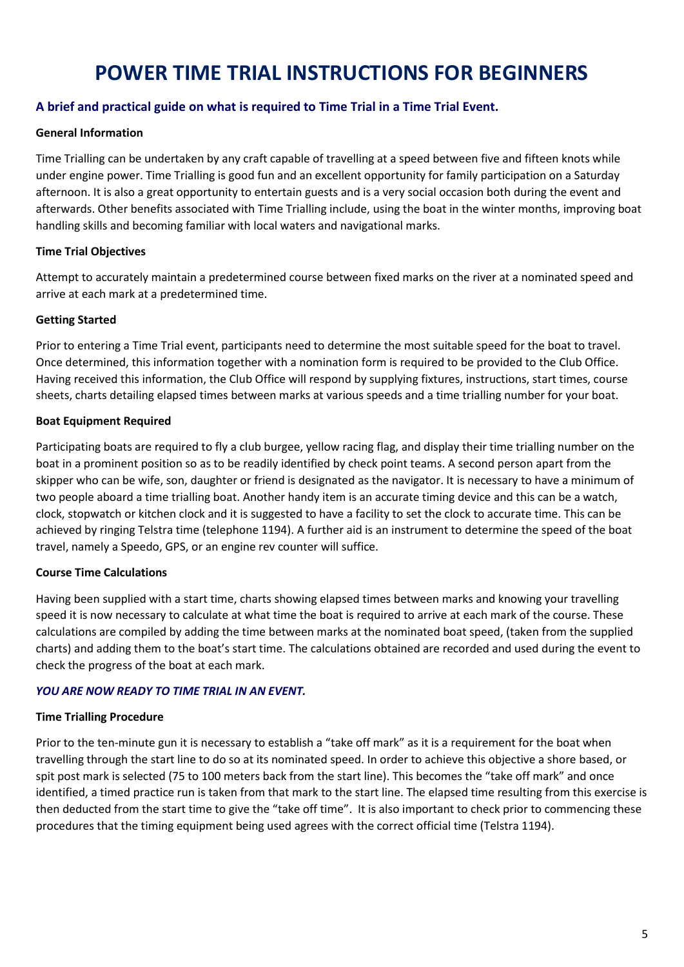# **POWER TIME TRIAL INSTRUCTIONS FOR BEGINNERS**

#### **A brief and practical guide on what is required to Time Trial in a Time Trial Event.**

#### **General Information**

Time Trialling can be undertaken by any craft capable of travelling at a speed between five and fifteen knots while under engine power. Time Trialling is good fun and an excellent opportunity for family participation on a Saturday afternoon. It is also a great opportunity to entertain guests and is a very social occasion both during the event and afterwards. Other benefits associated with Time Trialling include, using the boat in the winter months, improving boat handling skills and becoming familiar with local waters and navigational marks.

#### **Time Trial Objectives**

Attempt to accurately maintain a predetermined course between fixed marks on the river at a nominated speed and arrive at each mark at a predetermined time.

#### **Getting Started**

Prior to entering a Time Trial event, participants need to determine the most suitable speed for the boat to travel. Once determined, this information together with a nomination form is required to be provided to the Club Office. Having received this information, the Club Office will respond by supplying fixtures, instructions, start times, course sheets, charts detailing elapsed times between marks at various speeds and a time trialling number for your boat.

#### **Boat Equipment Required**

Participating boats are required to fly a club burgee, yellow racing flag, and display their time trialling number on the boat in a prominent position so as to be readily identified by check point teams. A second person apart from the skipper who can be wife, son, daughter or friend is designated as the navigator. It is necessary to have a minimum of two people aboard a time trialling boat. Another handy item is an accurate timing device and this can be a watch, clock, stopwatch or kitchen clock and it is suggested to have a facility to set the clock to accurate time. This can be achieved by ringing Telstra time (telephone 1194). A further aid is an instrument to determine the speed of the boat travel, namely a Speedo, GPS, or an engine rev counter will suffice.

#### **Course Time Calculations**

Having been supplied with a start time, charts showing elapsed times between marks and knowing your travelling speed it is now necessary to calculate at what time the boat is required to arrive at each mark of the course. These calculations are compiled by adding the time between marks at the nominated boat speed, (taken from the supplied charts) and adding them to the boat's start time. The calculations obtained are recorded and used during the event to check the progress of the boat at each mark.

#### *YOU ARE NOW READY TO TIME TRIAL IN AN EVENT.*

#### **Time Trialling Procedure**

Prior to the ten-minute gun it is necessary to establish a "take off mark" as it is a requirement for the boat when travelling through the start line to do so at its nominated speed. In order to achieve this objective a shore based, or spit post mark is selected (75 to 100 meters back from the start line). This becomes the "take off mark" and once identified, a timed practice run is taken from that mark to the start line. The elapsed time resulting from this exercise is then deducted from the start time to give the "take off time". It is also important to check prior to commencing these procedures that the timing equipment being used agrees with the correct official time (Telstra 1194).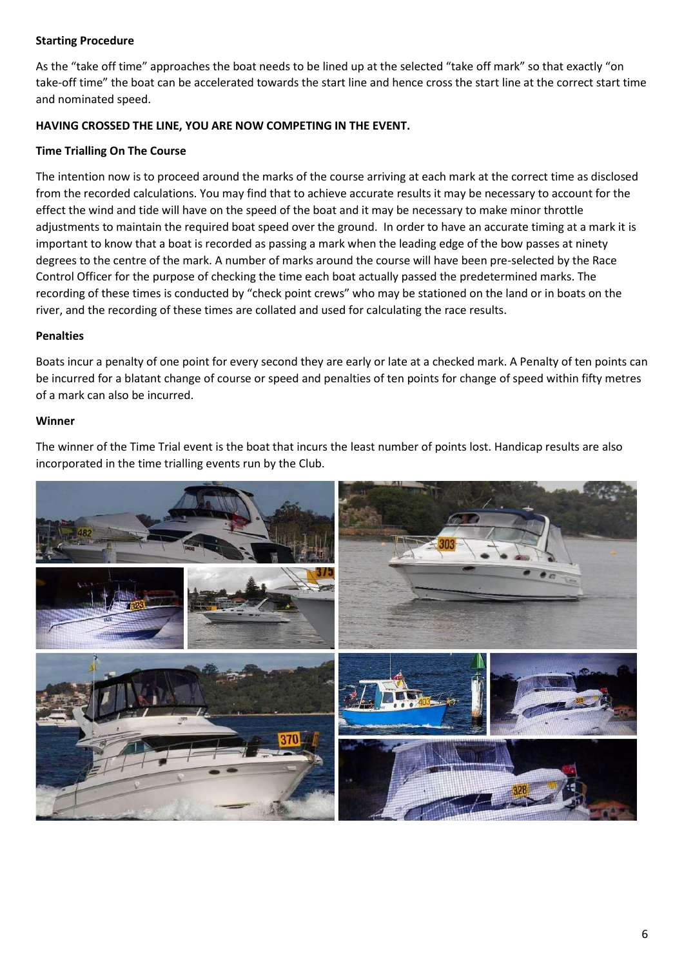#### **Starting Procedure**

As the "take off time" approaches the boat needs to be lined up at the selected "take off mark" so that exactly "on take-off time" the boat can be accelerated towards the start line and hence cross the start line at the correct start time and nominated speed.

#### **HAVING CROSSED THE LINE, YOU ARE NOW COMPETING IN THE EVENT.**

#### **Time Trialling On The Course**

The intention now is to proceed around the marks of the course arriving at each mark at the correct time as disclosed from the recorded calculations. You may find that to achieve accurate results it may be necessary to account for the effect the wind and tide will have on the speed of the boat and it may be necessary to make minor throttle adjustments to maintain the required boat speed over the ground. In order to have an accurate timing at a mark it is important to know that a boat is recorded as passing a mark when the leading edge of the bow passes at ninety degrees to the centre of the mark. A number of marks around the course will have been pre-selected by the Race Control Officer for the purpose of checking the time each boat actually passed the predetermined marks. The recording of these times is conducted by "check point crews" who may be stationed on the land or in boats on the river, and the recording of these times are collated and used for calculating the race results.

#### **Penalties**

Boats incur a penalty of one point for every second they are early or late at a checked mark. A Penalty of ten points can be incurred for a blatant change of course or speed and penalties of ten points for change of speed within fifty metres of a mark can also be incurred.

#### **Winner**

The winner of the Time Trial event is the boat that incurs the least number of points lost. Handicap results are also incorporated in the time trialling events run by the Club.

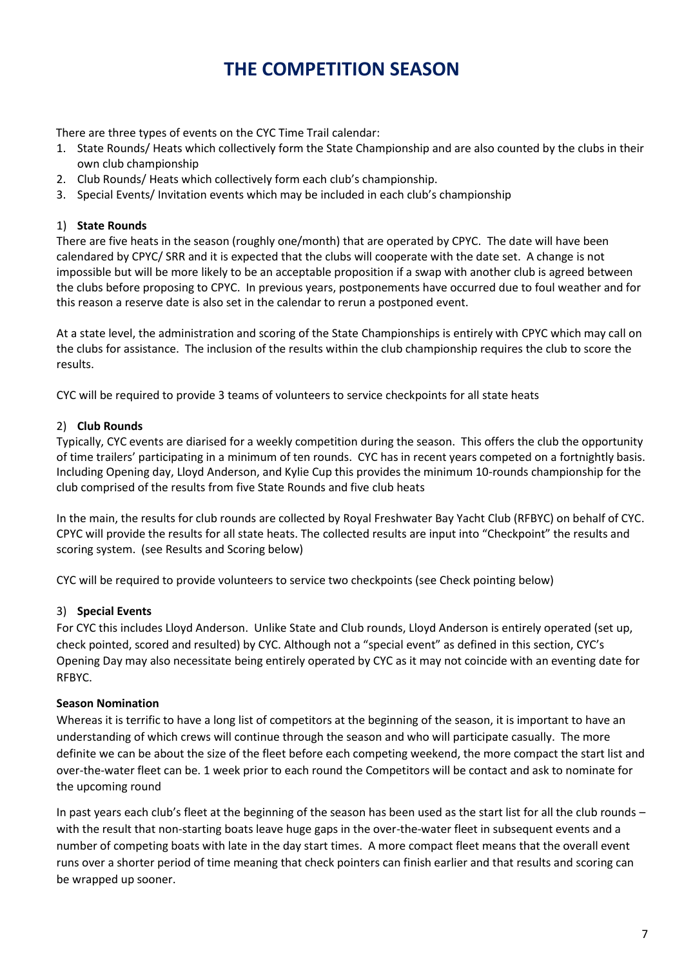# **THE COMPETITION SEASON**

There are three types of events on the CYC Time Trail calendar:

- 1. State Rounds/ Heats which collectively form the State Championship and are also counted by the clubs in their own club championship
- 2. Club Rounds/ Heats which collectively form each club's championship.
- 3. Special Events/ Invitation events which may be included in each club's championship

#### 1) **State Rounds**

There are five heats in the season (roughly one/month) that are operated by CPYC. The date will have been calendared by CPYC/ SRR and it is expected that the clubs will cooperate with the date set. A change is not impossible but will be more likely to be an acceptable proposition if a swap with another club is agreed between the clubs before proposing to CPYC. In previous years, postponements have occurred due to foul weather and for this reason a reserve date is also set in the calendar to rerun a postponed event.

At a state level, the administration and scoring of the State Championships is entirely with CPYC which may call on the clubs for assistance. The inclusion of the results within the club championship requires the club to score the results.

CYC will be required to provide 3 teams of volunteers to service checkpoints for all state heats

#### 2) **Club Rounds**

Typically, CYC events are diarised for a weekly competition during the season. This offers the club the opportunity of time trailers' participating in a minimum of ten rounds. CYC has in recent years competed on a fortnightly basis. Including Opening day, Lloyd Anderson, and Kylie Cup this provides the minimum 10-rounds championship for the club comprised of the results from five State Rounds and five club heats

In the main, the results for club rounds are collected by Royal Freshwater Bay Yacht Club (RFBYC) on behalf of CYC. CPYC will provide the results for all state heats. The collected results are input into "Checkpoint" the results and scoring system. (see Results and Scoring below)

CYC will be required to provide volunteers to service two checkpoints (see Check pointing below)

#### 3) **Special Events**

For CYC this includes Lloyd Anderson. Unlike State and Club rounds, Lloyd Anderson is entirely operated (set up, check pointed, scored and resulted) by CYC. Although not a "special event" as defined in this section, CYC's Opening Day may also necessitate being entirely operated by CYC as it may not coincide with an eventing date for RFBYC.

#### **Season Nomination**

Whereas it is terrific to have a long list of competitors at the beginning of the season, it is important to have an understanding of which crews will continue through the season and who will participate casually. The more definite we can be about the size of the fleet before each competing weekend, the more compact the start list and over-the-water fleet can be. 1 week prior to each round the Competitors will be contact and ask to nominate for the upcoming round

In past years each club's fleet at the beginning of the season has been used as the start list for all the club rounds – with the result that non-starting boats leave huge gaps in the over-the-water fleet in subsequent events and a number of competing boats with late in the day start times. A more compact fleet means that the overall event runs over a shorter period of time meaning that check pointers can finish earlier and that results and scoring can be wrapped up sooner.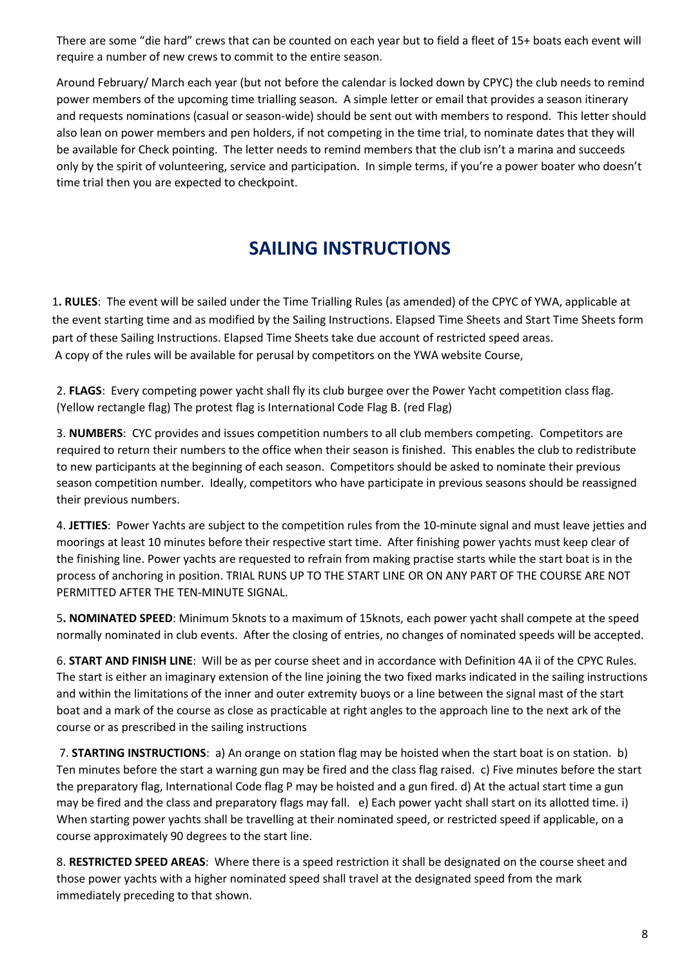There are some "die hard" crews that can be counted on each year but to field a fleet of 15+ boats each event will require a number of new crews to commit to the entire season.

Around February/ March each year (but not before the calendar is locked down by CPYC) the club needs to remind power members of the upcoming time trialling season. A simple letter or email that provides a season itinerary and requests nominations (casual or season-wide) should be sent out with members to respond. This letter should also lean on power members and pen holders, if not competing in the time trial, to nominate dates that they will be available for Check pointing. The letter needs to remind members that the club isn't a marina and succeeds only by the spirit of volunteering, service and participation. In simple terms, if you're a power boater who doesn't time trial then you are expected to checkpoint.

# **SAILING INSTRUCTIONS**

1**. RULES**: The event will be sailed under the Time Trialling Rules (as amended) of the CPYC of YWA, applicable at the event starting time and as modified by the Sailing Instructions. Elapsed Time Sheets and Start Time Sheets form part of these Sailing Instructions. Elapsed Time Sheets take due account of restricted speed areas. A copy of the rules will be available for perusal by competitors on the YWA website Course,

2. **FLAGS**: Every competing power yacht shall fly its club burgee over the Power Yacht competition class flag. (Yellow rectangle flag) The protest flag is International Code Flag B. (red Flag)

3. **NUMBERS**: CYC provides and issues competition numbers to all club members competing. Competitors are required to return their numbers to the office when their season is finished. This enables the club to redistribute to new participants at the beginning of each season. Competitors should be asked to nominate their previous season competition number. Ideally, competitors who have participate in previous seasons should be reassigned their previous numbers.

4. **JETTIES**: Power Yachts are subject to the competition rules from the 10-minute signal and must leave jetties and moorings at least 10 minutes before their respective start time. After finishing power yachts must keep clear of the finishing line. Power yachts are requested to refrain from making practise starts while the start boat is in the process of anchoring in position. TRIAL RUNS UP TO THE START LINE OR ON ANY PART OF THE COURSE ARE NOT PERMITTED AFTER THE TEN-MINUTE SIGNAL.

5**. NOMINATED SPEED**: Minimum 5knots to a maximum of 15knots, each power yacht shall compete at the speed normally nominated in club events. After the closing of entries, no changes of nominated speeds will be accepted.

6. **START AND FINISH LINE**: Will be as per course sheet and in accordance with Definition 4A ii of the CPYC Rules. The start is either an imaginary extension of the line joining the two fixed marks indicated in the sailing instructions and within the limitations of the inner and outer extremity buoys or a line between the signal mast of the start boat and a mark of the course as close as practicable at right angles to the approach line to the next ark of the course or as prescribed in the sailing instructions

 7. **STARTING INSTRUCTIONS**: a) An orange on station flag may be hoisted when the start boat is on station. b) Ten minutes before the start a warning gun may be fired and the class flag raised. c) Five minutes before the start the preparatory flag, International Code flag P may be hoisted and a gun fired. d) At the actual start time a gun may be fired and the class and preparatory flags may fall. e) Each power yacht shall start on its allotted time. i) When starting power yachts shall be travelling at their nominated speed, or restricted speed if applicable, on a course approximately 90 degrees to the start line.

8. **RESTRICTED SPEED AREAS**: Where there is a speed restriction it shall be designated on the course sheet and those power yachts with a higher nominated speed shall travel at the designated speed from the mark immediately preceding to that shown.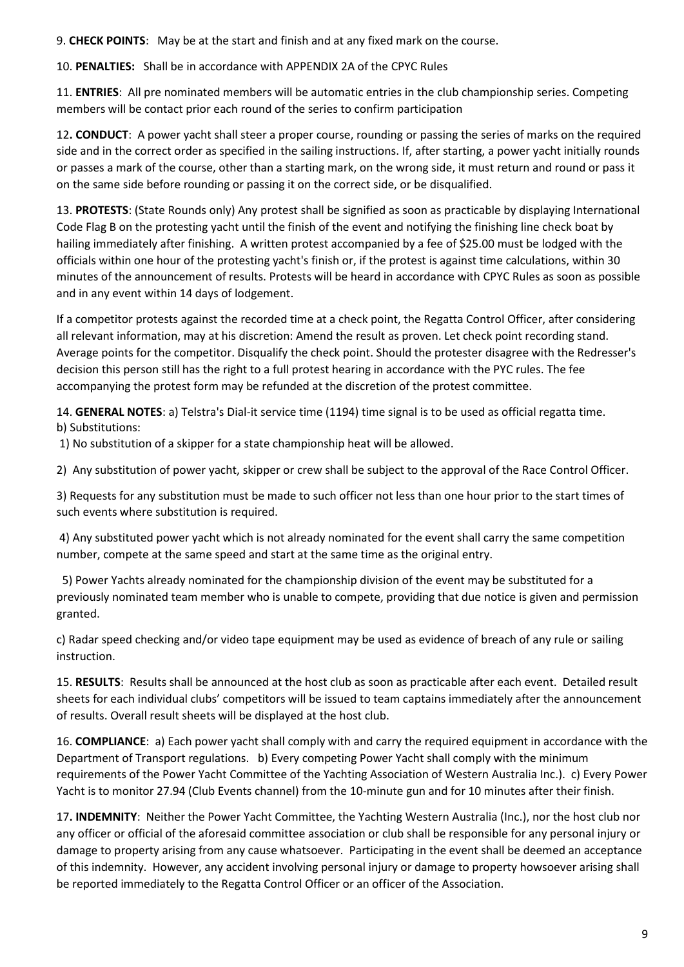9. **CHECK POINTS**: May be at the start and finish and at any fixed mark on the course.

10. **PENALTIES:** Shall be in accordance with APPENDIX 2A of the CPYC Rules

11. **ENTRIES**: All pre nominated members will be automatic entries in the club championship series. Competing members will be contact prior each round of the series to confirm participation

12**. CONDUCT**: A power yacht shall steer a proper course, rounding or passing the series of marks on the required side and in the correct order as specified in the sailing instructions. If, after starting, a power yacht initially rounds or passes a mark of the course, other than a starting mark, on the wrong side, it must return and round or pass it on the same side before rounding or passing it on the correct side, or be disqualified.

13. **PROTESTS**: (State Rounds only) Any protest shall be signified as soon as practicable by displaying International Code Flag B on the protesting yacht until the finish of the event and notifying the finishing line check boat by hailing immediately after finishing. A written protest accompanied by a fee of \$25.00 must be lodged with the officials within one hour of the protesting yacht's finish or, if the protest is against time calculations, within 30 minutes of the announcement of results. Protests will be heard in accordance with CPYC Rules as soon as possible and in any event within 14 days of lodgement.

If a competitor protests against the recorded time at a check point, the Regatta Control Officer, after considering all relevant information, may at his discretion: Amend the result as proven. Let check point recording stand. Average points for the competitor. Disqualify the check point. Should the protester disagree with the Redresser's decision this person still has the right to a full protest hearing in accordance with the PYC rules. The fee accompanying the protest form may be refunded at the discretion of the protest committee.

14. **GENERAL NOTES**: a) Telstra's Dial-it service time (1194) time signal is to be used as official regatta time. b) Substitutions:

1) No substitution of a skipper for a state championship heat will be allowed.

2) Any substitution of power yacht, skipper or crew shall be subject to the approval of the Race Control Officer.

3) Requests for any substitution must be made to such officer not less than one hour prior to the start times of such events where substitution is required.

 4) Any substituted power yacht which is not already nominated for the event shall carry the same competition number, compete at the same speed and start at the same time as the original entry.

 5) Power Yachts already nominated for the championship division of the event may be substituted for a previously nominated team member who is unable to compete, providing that due notice is given and permission granted.

c) Radar speed checking and/or video tape equipment may be used as evidence of breach of any rule or sailing instruction.

15. **RESULTS**: Results shall be announced at the host club as soon as practicable after each event. Detailed result sheets for each individual clubs' competitors will be issued to team captains immediately after the announcement of results. Overall result sheets will be displayed at the host club.

16. **COMPLIANCE**: a) Each power yacht shall comply with and carry the required equipment in accordance with the Department of Transport regulations. b) Every competing Power Yacht shall comply with the minimum requirements of the Power Yacht Committee of the Yachting Association of Western Australia Inc.). c) Every Power Yacht is to monitor 27.94 (Club Events channel) from the 10-minute gun and for 10 minutes after their finish.

17**. INDEMNITY**: Neither the Power Yacht Committee, the Yachting Western Australia (Inc.), nor the host club nor any officer or official of the aforesaid committee association or club shall be responsible for any personal injury or damage to property arising from any cause whatsoever. Participating in the event shall be deemed an acceptance of this indemnity. However, any accident involving personal injury or damage to property howsoever arising shall be reported immediately to the Regatta Control Officer or an officer of the Association.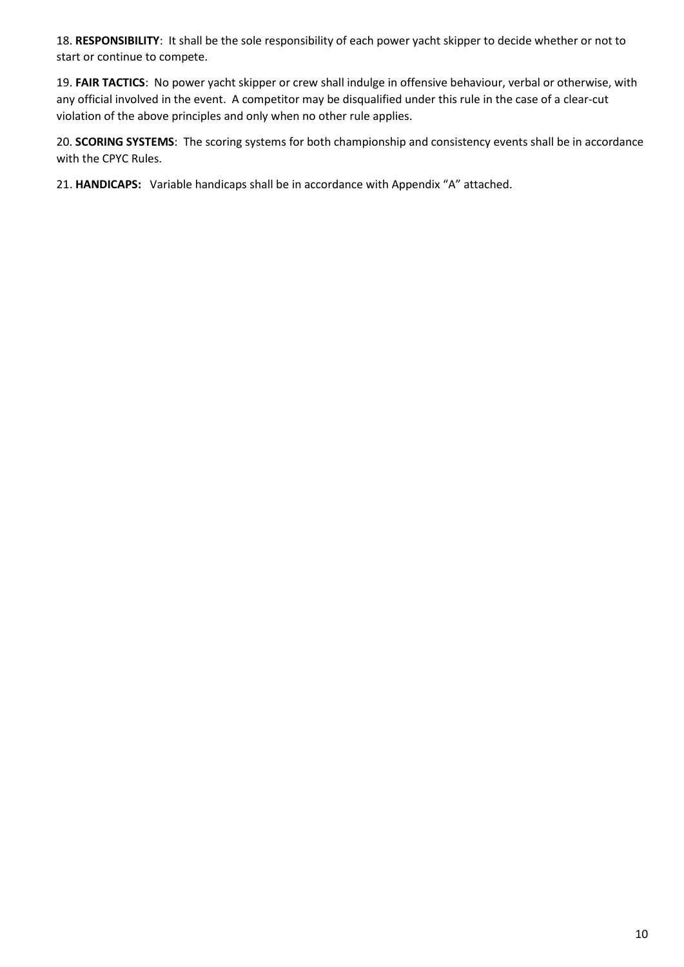18. **RESPONSIBILITY**: It shall be the sole responsibility of each power yacht skipper to decide whether or not to start or continue to compete.

19. **FAIR TACTICS**: No power yacht skipper or crew shall indulge in offensive behaviour, verbal or otherwise, with any official involved in the event. A competitor may be disqualified under this rule in the case of a clear-cut violation of the above principles and only when no other rule applies.

20. **SCORING SYSTEMS**: The scoring systems for both championship and consistency events shall be in accordance with the CPYC Rules.

21. **HANDICAPS:** Variable handicaps shall be in accordance with Appendix "A" attached.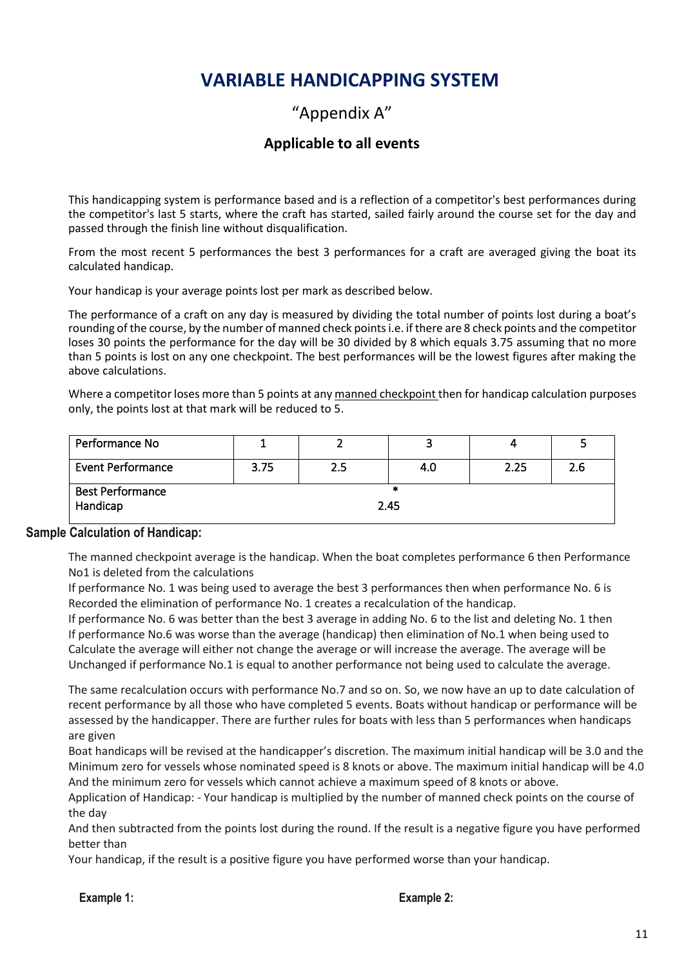# **VARIABLE HANDICAPPING SYSTEM**

## "Appendix A"

## **Applicable to all events**

This handicapping system is performance based and is a reflection of a competitor's best performances during the competitor's last 5 starts, where the craft has started, sailed fairly around the course set for the day and passed through the finish line without disqualification.

From the most recent 5 performances the best 3 performances for a craft are averaged giving the boat its calculated handicap.

Your handicap is your average points lost per mark as described below.

The performance of a craft on any day is measured by dividing the total number of points lost during a boat's rounding of the course, by the number of manned check points i.e. if there are 8 check points and the competitor loses 30 points the performance for the day will be 30 divided by 8 which equals 3.75 assuming that no more than 5 points is lost on any one checkpoint. The best performances will be the lowest figures after making the above calculations.

Where a competitor loses more than 5 points at any manned checkpoint then for handicap calculation purposes only, the points lost at that mark will be reduced to 5.

| Performance No           |      |     |     |      |     |
|--------------------------|------|-----|-----|------|-----|
| <b>Event Performance</b> | 3.75 | 2.5 | 4.U | 2.25 | 2.6 |
| <b>Best Performance</b>  |      |     | *   |      |     |
| Handicap                 | 2.45 |     |     |      |     |

#### **Sample Calculation of Handicap:**

The manned checkpoint average is the handicap. When the boat completes performance 6 then Performance No1 is deleted from the calculations

If performance No. 1 was being used to average the best 3 performances then when performance No. 6 is Recorded the elimination of performance No. 1 creates a recalculation of the handicap.

If performance No. 6 was better than the best 3 average in adding No. 6 to the list and deleting No. 1 then If performance No.6 was worse than the average (handicap) then elimination of No.1 when being used to Calculate the average will either not change the average or will increase the average. The average will be Unchanged if performance No.1 is equal to another performance not being used to calculate the average.

The same recalculation occurs with performance No.7 and so on. So, we now have an up to date calculation of recent performance by all those who have completed 5 events. Boats without handicap or performance will be assessed by the handicapper. There are further rules for boats with less than 5 performances when handicaps are given

Boat handicaps will be revised at the handicapper's discretion. The maximum initial handicap will be 3.0 and the Minimum zero for vessels whose nominated speed is 8 knots or above. The maximum initial handicap will be 4.0 And the minimum zero for vessels which cannot achieve a maximum speed of 8 knots or above.

Application of Handicap: - Your handicap is multiplied by the number of manned check points on the course of the day

And then subtracted from the points lost during the round. If the result is a negative figure you have performed better than

Your handicap, if the result is a positive figure you have performed worse than your handicap.

#### **Example 1:** Example 2: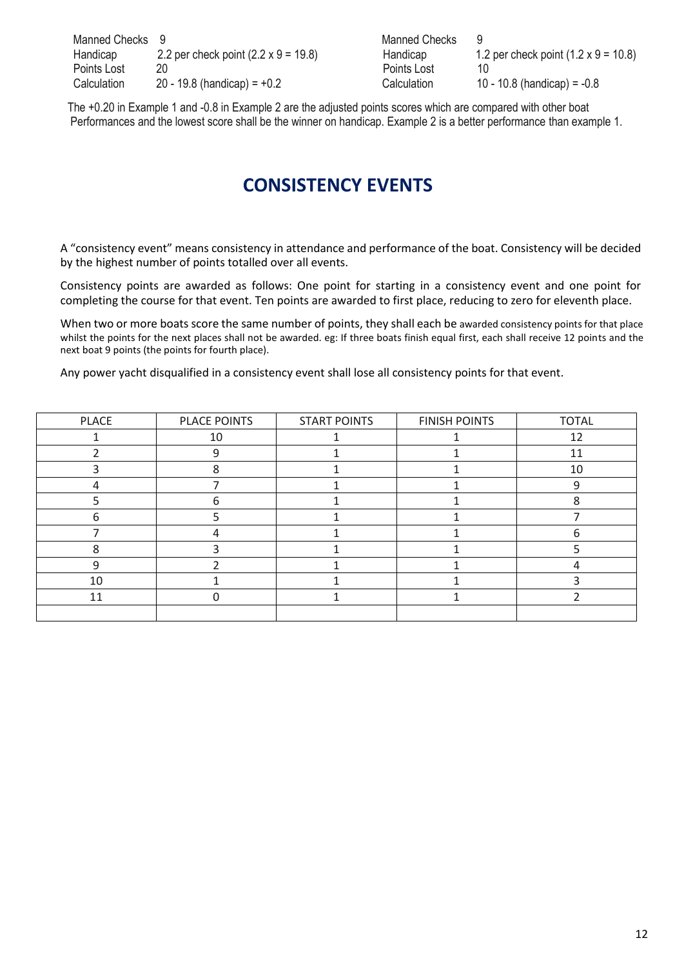| Manned Checks 9 |                                             | Manned Checks |                                             |
|-----------------|---------------------------------------------|---------------|---------------------------------------------|
| Handicap        | 2.2 per check point $(2.2 \times 9 = 19.8)$ | Handicap      | 1.2 per check point $(1.2 \times 9 = 10.8)$ |
| Points Lost     | 20                                          | Points Lost   | 10                                          |
| Calculation     | 20 - 19.8 (handicap) = $+0.2$               | Calculation   | 10 - 10.8 (handicap) = $-0.8$               |

| anned Checks |                                             |
|--------------|---------------------------------------------|
| andicap      | 1.2 per check point $(1.2 \times 9 = 10.8)$ |
| pints Lost   | 10                                          |
| alculation   | 10 - 10.8 (handicap) = $-0.8$               |
|              |                                             |

 The +0.20 in Example 1 and -0.8 in Example 2 are the adjusted points scores which are compared with other boat Performances and the lowest score shall be the winner on handicap. Example 2 is a better performance than example 1.

# **CONSISTENCY EVENTS**

A "consistency event" means consistency in attendance and performance of the boat. Consistency will be decided by the highest number of points totalled over all events.

Consistency points are awarded as follows: One point for starting in a consistency event and one point for completing the course for that event. Ten points are awarded to first place, reducing to zero for eleventh place.

When two or more boats score the same number of points, they shall each be awarded consistency points for that place whilst the points for the next places shall not be awarded. eg: If three boats finish equal first, each shall receive 12 points and the next boat 9 points (the points for fourth place).

Any power yacht disqualified in a consistency event shall lose all consistency points for that event.

| PLACE | PLACE POINTS | <b>START POINTS</b> | <b>FINISH POINTS</b> | <b>TOTAL</b> |
|-------|--------------|---------------------|----------------------|--------------|
|       | 10           |                     |                      | 12           |
|       | റ            |                     |                      | 11           |
|       |              |                     |                      | 10           |
|       |              |                     |                      | q            |
|       |              |                     |                      |              |
| n     |              |                     |                      |              |
|       |              |                     |                      | h            |
| 8     |              |                     |                      |              |
| 9     |              |                     |                      |              |
| 10    |              |                     |                      |              |
| 11    |              |                     |                      |              |
|       |              |                     |                      |              |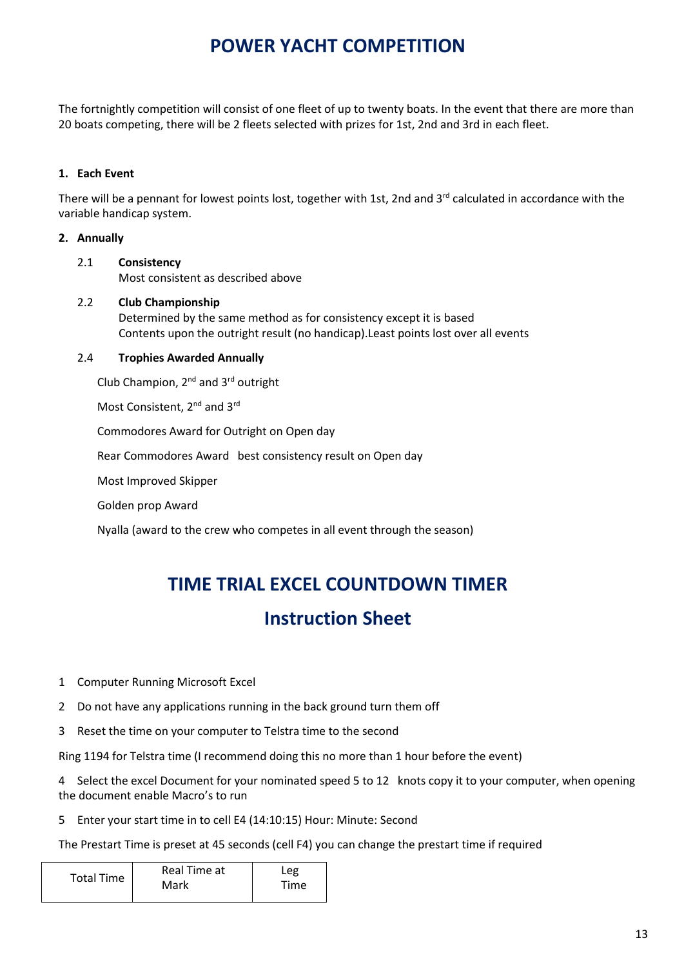# **POWER YACHT COMPETITION**

The fortnightly competition will consist of one fleet of up to twenty boats. In the event that there are more than 20 boats competing, there will be 2 fleets selected with prizes for 1st, 2nd and 3rd in each fleet.

#### **1. Each Event**

There will be a pennant for lowest points lost, together with 1st, 2nd and  $3<sup>rd</sup>$  calculated in accordance with the variable handicap system.

#### **2. Annually**

#### 2.1 **Consistency** Most consistent as described above

 2.2 **Club Championship** Determined by the same method as for consistency except it is based Contents upon the outright result (no handicap).Least points lost over all events

#### 2.4 **Trophies Awarded Annually**

Club Champion, 2nd and 3rd outright

Most Consistent, 2<sup>nd</sup> and 3<sup>rd</sup>

Commodores Award for Outright on Open day

Rear Commodores Award best consistency result on Open day

Most Improved Skipper

Golden prop Award

Nyalla (award to the crew who competes in all event through the season)

# **TIME TRIAL EXCEL COUNTDOWN TIMER**

## **Instruction Sheet**

- 1 Computer Running Microsoft Excel
- 2 Do not have any applications running in the back ground turn them off
- 3 Reset the time on your computer to Telstra time to the second

Ring 1194 for Telstra time (I recommend doing this no more than 1 hour before the event)

4 Select the excel Document for your nominated speed 5 to 12 knots copy it to your computer, when opening the document enable Macro's to run

5 Enter your start time in to cell E4 (14:10:15) Hour: Minute: Second

The Prestart Time is preset at 45 seconds (cell F4) you can change the prestart time if required

| Real Time at | Leg  |  |  |
|--------------|------|--|--|
| Mark         | Time |  |  |
|              |      |  |  |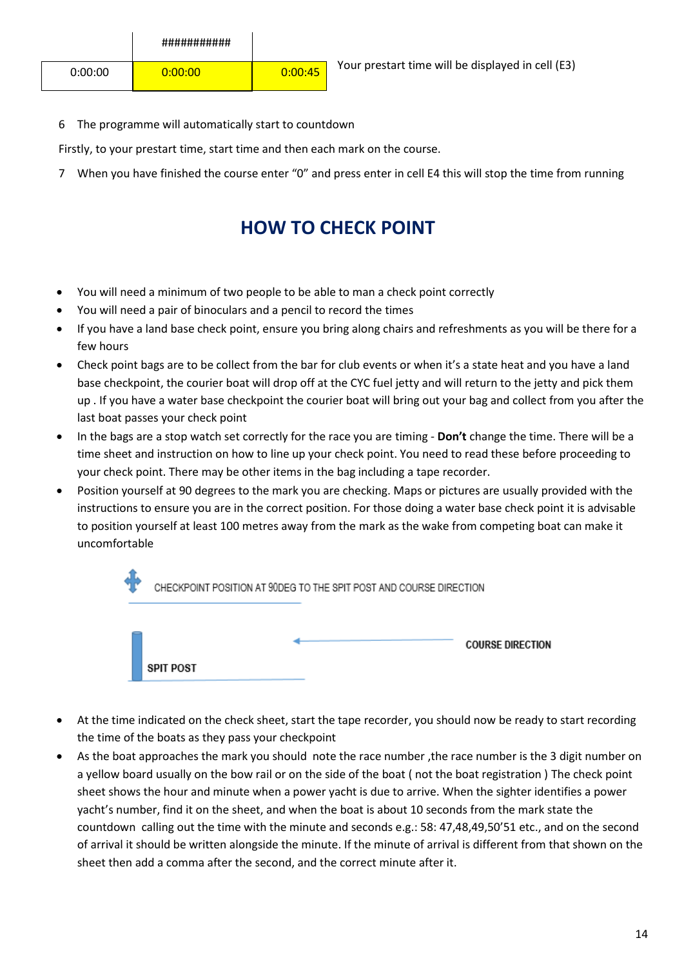6 The programme will automatically start to countdown

Firstly, to your prestart time, start time and then each mark on the course.

7 When you have finished the course enter "0" and press enter in cell E4 this will stop the time from running

# **HOW TO CHECK POINT**

- You will need a minimum of two people to be able to man a check point correctly
- You will need a pair of binoculars and a pencil to record the times
- If you have a land base check point, ensure you bring along chairs and refreshments as you will be there for a few hours
- Check point bags are to be collect from the bar for club events or when it's a state heat and you have a land base checkpoint, the courier boat will drop off at the CYC fuel jetty and will return to the jetty and pick them up . If you have a water base checkpoint the courier boat will bring out your bag and collect from you after the last boat passes your check point
- In the bags are a stop watch set correctly for the race you are timing **Don't** change the time. There will be a time sheet and instruction on how to line up your check point. You need to read these before proceeding to your check point. There may be other items in the bag including a tape recorder.
- Position yourself at 90 degrees to the mark you are checking. Maps or pictures are usually provided with the instructions to ensure you are in the correct position. For those doing a water base check point it is advisable to position yourself at least 100 metres away from the mark as the wake from competing boat can make it uncomfortable



- At the time indicated on the check sheet, start the tape recorder, you should now be ready to start recording the time of the boats as they pass your checkpoint
- As the boat approaches the mark you should note the race number, the race number is the 3 digit number on a yellow board usually on the bow rail or on the side of the boat ( not the boat registration ) The check point sheet shows the hour and minute when a power yacht is due to arrive. When the sighter identifies a power yacht's number, find it on the sheet, and when the boat is about 10 seconds from the mark state the countdown calling out the time with the minute and seconds e.g.: 58: 47,48,49,50'51 etc., and on the second of arrival it should be written alongside the minute. If the minute of arrival is different from that shown on the sheet then add a comma after the second, and the correct minute after it.